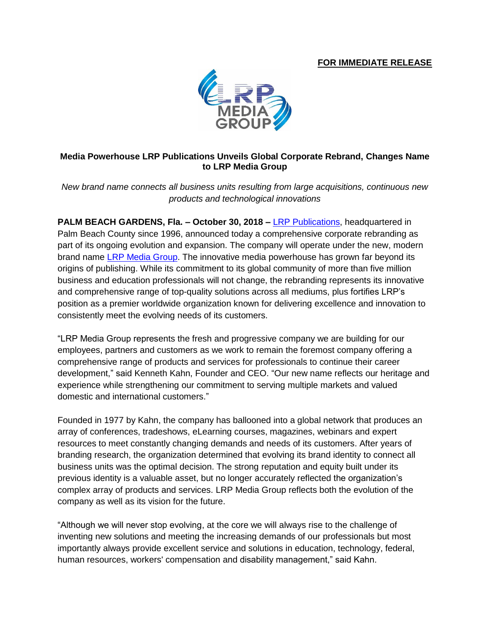## **FOR IMMEDIATE RELEASE**



## **Media Powerhouse LRP Publications Unveils Global Corporate Rebrand, Changes Name to LRP Media Group**

*New brand name connects all business units resulting from large acquisitions, continuous new products and technological innovations*

**PALM BEACH GARDENS, Fla. – October 30, 2018 –** [LRP Publications,](http://www.lrp.com/) headquartered in Palm Beach County since 1996, announced today a comprehensive corporate rebranding as part of its ongoing evolution and expansion. The company will operate under the new, modern brand name [LRP Media Group.](http://www.lrp.com/) The innovative media powerhouse has grown far beyond its origins of publishing. While its commitment to its global community of more than five million business and education professionals will not change, the rebranding represents its innovative and comprehensive range of top-quality solutions across all mediums, plus fortifies LRP's position as a premier worldwide organization known for delivering excellence and innovation to consistently meet the evolving needs of its customers.

"LRP Media Group represents the fresh and progressive company we are building for our employees, partners and customers as we work to remain the foremost company offering a comprehensive range of products and services for professionals to continue their career development," said Kenneth Kahn, Founder and CEO. "Our new name reflects our heritage and experience while strengthening our commitment to serving multiple markets and valued domestic and international customers."

Founded in 1977 by Kahn, the company has ballooned into a global network that produces an array of conferences, tradeshows, eLearning courses, magazines, webinars and expert resources to meet constantly changing demands and needs of its customers. After years of branding research, the organization determined that evolving its brand identity to connect all business units was the optimal decision. The strong reputation and equity built under its previous identity is a valuable asset, but no longer accurately reflected the organization's complex array of products and services. LRP Media Group reflects both the evolution of the company as well as its vision for the future.

"Although we will never stop evolving, at the core we will always rise to the challenge of inventing new solutions and meeting the increasing demands of our professionals but most importantly always provide excellent service and solutions in education, technology, federal, human resources, workers' compensation and disability management," said Kahn.